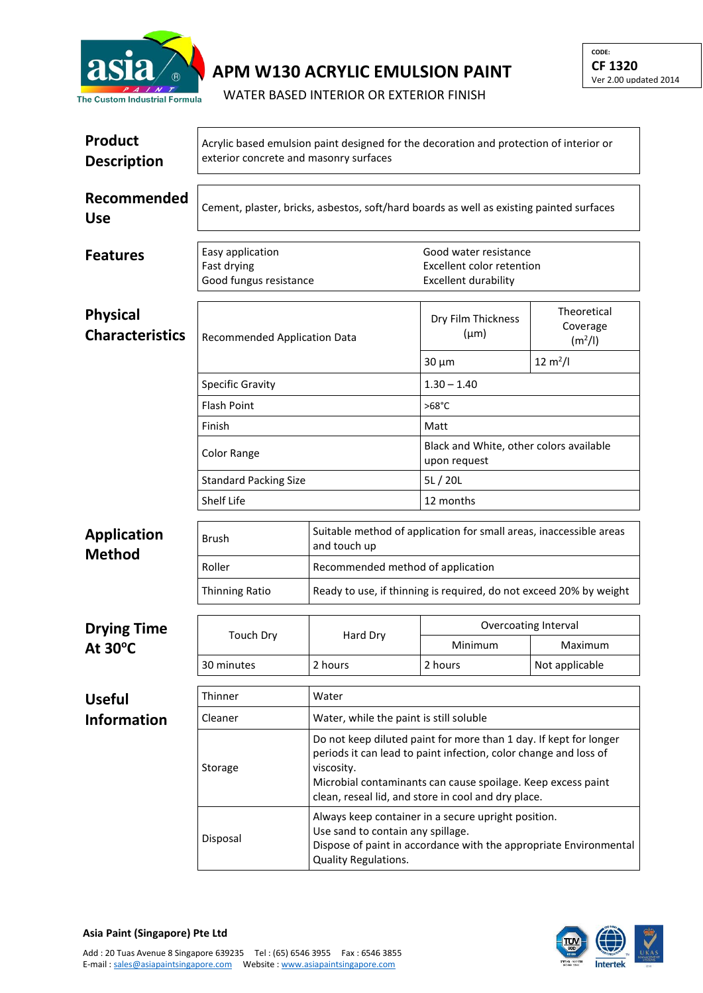

## **APM W130 ACRYLIC EMULSION PAINT**

WATER BASED INTERIOR OR EXTERIOR FINISH

| <b>Product</b><br><b>Description</b>      | Acrylic based emulsion paint designed for the decoration and protection of interior or<br>exterior concrete and masonry surfaces |                                                                                                                                                                                       |                                                                                                                                                                                                                                                              |                                                |  |  |
|-------------------------------------------|----------------------------------------------------------------------------------------------------------------------------------|---------------------------------------------------------------------------------------------------------------------------------------------------------------------------------------|--------------------------------------------------------------------------------------------------------------------------------------------------------------------------------------------------------------------------------------------------------------|------------------------------------------------|--|--|
| Recommended<br><b>Use</b>                 | Cement, plaster, bricks, asbestos, soft/hard boards as well as existing painted surfaces                                         |                                                                                                                                                                                       |                                                                                                                                                                                                                                                              |                                                |  |  |
| <b>Features</b>                           | Easy application<br>Fast drying<br>Good fungus resistance                                                                        |                                                                                                                                                                                       | Good water resistance<br>Excellent color retention<br><b>Excellent durability</b>                                                                                                                                                                            |                                                |  |  |
| <b>Physical</b><br><b>Characteristics</b> | <b>Recommended Application Data</b>                                                                                              |                                                                                                                                                                                       | Dry Film Thickness<br>$(\mu m)$                                                                                                                                                                                                                              | Theoretical<br>Coverage<br>(m <sup>2</sup> /I) |  |  |
|                                           |                                                                                                                                  |                                                                                                                                                                                       | $30 \mu m$                                                                                                                                                                                                                                                   | $12 \text{ m}^2$ /l                            |  |  |
|                                           | <b>Specific Gravity</b>                                                                                                          |                                                                                                                                                                                       | $1.30 - 1.40$                                                                                                                                                                                                                                                |                                                |  |  |
|                                           | <b>Flash Point</b>                                                                                                               |                                                                                                                                                                                       | $>68^{\circ}$ C                                                                                                                                                                                                                                              |                                                |  |  |
|                                           | Finish                                                                                                                           |                                                                                                                                                                                       | Matt                                                                                                                                                                                                                                                         |                                                |  |  |
|                                           | Color Range                                                                                                                      |                                                                                                                                                                                       | Black and White, other colors available<br>upon request                                                                                                                                                                                                      |                                                |  |  |
|                                           | <b>Standard Packing Size</b>                                                                                                     |                                                                                                                                                                                       | 5L/20L                                                                                                                                                                                                                                                       |                                                |  |  |
|                                           | <b>Shelf Life</b>                                                                                                                |                                                                                                                                                                                       | 12 months                                                                                                                                                                                                                                                    |                                                |  |  |
| <b>Application</b>                        | Brush                                                                                                                            | Suitable method of application for small areas, inaccessible areas<br>and touch up                                                                                                    |                                                                                                                                                                                                                                                              |                                                |  |  |
| <b>Method</b>                             | Roller                                                                                                                           | Recommended method of application                                                                                                                                                     |                                                                                                                                                                                                                                                              |                                                |  |  |
|                                           | <b>Thinning Ratio</b>                                                                                                            | Ready to use, if thinning is required, do not exceed 20% by weight                                                                                                                    |                                                                                                                                                                                                                                                              |                                                |  |  |
| <b>Drying Time</b><br>At 30°C             | <b>Touch Dry</b>                                                                                                                 | Hard Dry                                                                                                                                                                              | Overcoating Interval                                                                                                                                                                                                                                         |                                                |  |  |
|                                           |                                                                                                                                  |                                                                                                                                                                                       | Minimum                                                                                                                                                                                                                                                      | Maximum                                        |  |  |
|                                           | 30 minutes                                                                                                                       | 2 hours                                                                                                                                                                               | 2 hours                                                                                                                                                                                                                                                      | Not applicable                                 |  |  |
| <b>Useful</b>                             | Thinner                                                                                                                          | Water                                                                                                                                                                                 |                                                                                                                                                                                                                                                              |                                                |  |  |
| <b>Information</b>                        | Cleaner                                                                                                                          | Water, while the paint is still soluble                                                                                                                                               |                                                                                                                                                                                                                                                              |                                                |  |  |
|                                           | Storage                                                                                                                          | viscosity.                                                                                                                                                                            | Do not keep diluted paint for more than 1 day. If kept for longer<br>periods it can lead to paint infection, color change and loss of<br>Microbial contaminants can cause spoilage. Keep excess paint<br>clean, reseal lid, and store in cool and dry place. |                                                |  |  |
|                                           | Disposal                                                                                                                         | Always keep container in a secure upright position.<br>Use sand to contain any spillage.<br>Dispose of paint in accordance with the appropriate Environmental<br>Quality Regulations. |                                                                                                                                                                                                                                                              |                                                |  |  |